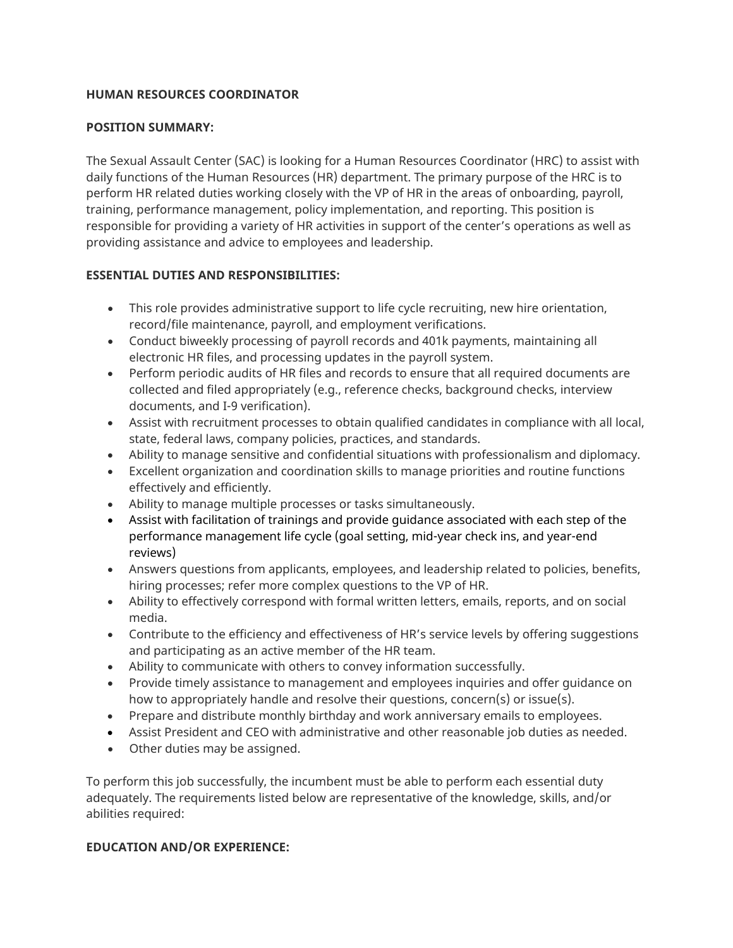# **HUMAN RESOURCES COORDINATOR**

### **POSITION SUMMARY:**

The Sexual Assault Center (SAC) is looking for a Human Resources Coordinator (HRC) to assist with daily functions of the Human Resources (HR) department. The primary purpose of the HRC is to perform HR related duties working closely with the VP of HR in the areas of onboarding, payroll, training, performance management, policy implementation, and reporting. This position is responsible for providing a variety of HR activities in support of the center's operations as well as providing assistance and advice to employees and leadership.

# **ESSENTIAL DUTIES AND RESPONSIBILITIES:**

- This role provides administrative support to life cycle recruiting, new hire orientation, record/file maintenance, payroll, and employment verifications.
- Conduct biweekly processing of payroll records and 401k payments, maintaining all electronic HR files, and processing updates in the payroll system.
- Perform periodic audits of HR files and records to ensure that all required documents are collected and filed appropriately (e.g., reference checks, background checks, interview documents, and I-9 verification).
- Assist with recruitment processes to obtain qualified candidates in compliance with all local, state, federal laws, company policies, practices, and standards.
- Ability to manage sensitive and confidential situations with professionalism and diplomacy.
- Excellent organization and coordination skills to manage priorities and routine functions effectively and efficiently.
- Ability to manage multiple processes or tasks simultaneously.
- Assist with facilitation of trainings and provide guidance associated with each step of the performance management life cycle (goal setting, mid-year check ins, and year-end reviews)
- Answers questions from applicants, employees, and leadership related to policies, benefits, hiring processes; refer more complex questions to the VP of HR.
- Ability to effectively correspond with formal written letters, emails, reports, and on social media.
- Contribute to the efficiency and effectiveness of HR's service levels by offering suggestions and participating as an active member of the HR team.
- Ability to communicate with others to convey information successfully.
- Provide timely assistance to management and employees inquiries and offer guidance on how to appropriately handle and resolve their questions, concern(s) or issue(s).
- Prepare and distribute monthly birthday and work anniversary emails to employees.
- Assist President and CEO with administrative and other reasonable job duties as needed.
- Other duties may be assigned.

To perform this job successfully, the incumbent must be able to perform each essential duty adequately. The requirements listed below are representative of the knowledge, skills, and/or abilities required:

# **EDUCATION AND/OR EXPERIENCE:**